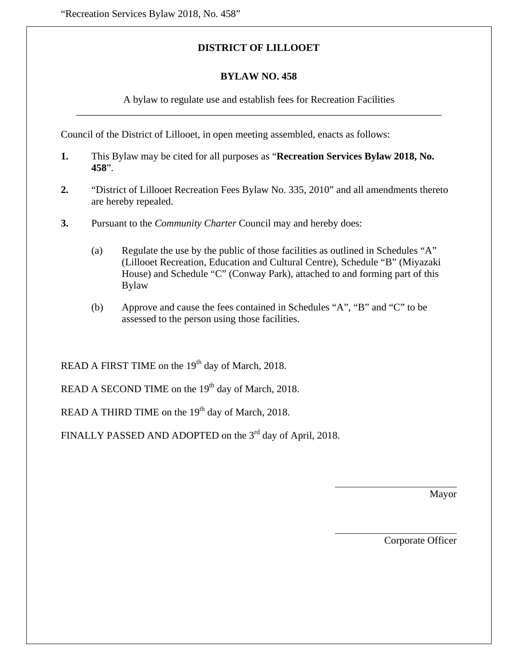### **DISTRICT OF LILLOOET**

#### **BYLAW NO. 458**

A bylaw to regulate use and establish fees for Recreation Facilities

 $\overline{\phantom{a}}$  , and the contribution of the contribution of the contribution of the contribution of the contribution of the contribution of the contribution of the contribution of the contribution of the contribution of the

Council of the District of Lillooet, in open meeting assembled, enacts as follows:

- **1.** This Bylaw may be cited for all purposes as "**Recreation Services Bylaw 2018, No. 458**".
- **2.** "District of Lillooet Recreation Fees Bylaw No. 335, 2010" and all amendments thereto are hereby repealed.
- **3.** Pursuant to the *Community Charter* Council may and hereby does:
	- (a) Regulate the use by the public of those facilities as outlined in Schedules "A" (Lillooet Recreation, Education and Cultural Centre), Schedule "B" (Miyazaki House) and Schedule "C" (Conway Park), attached to and forming part of this Bylaw
	- (b) Approve and cause the fees contained in Schedules "A", "B" and "C" to be assessed to the person using those facilities.

READ A FIRST TIME on the 19<sup>th</sup> day of March, 2018.

READ A SECOND TIME on the  $19<sup>th</sup>$  day of March, 2018.

READ A THIRD TIME on the  $19<sup>th</sup>$  day of March, 2018.

FINALLY PASSED AND ADOPTED on the 3<sup>rd</sup> day of April, 2018.

Mayor

Corporate Officer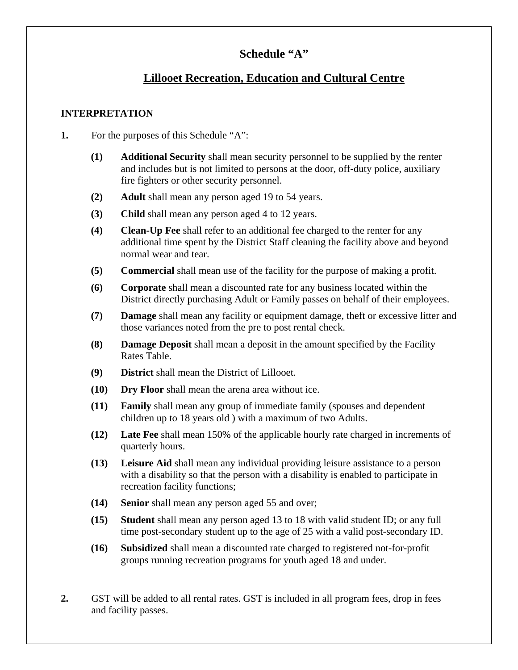## **Schedule "A"**

## **Lillooet Recreation, Education and Cultural Centre**

### **INTERPRETATION**

- **1.** For the purposes of this Schedule "A":
	- **(1) Additional Security** shall mean security personnel to be supplied by the renter and includes but is not limited to persons at the door, off-duty police, auxiliary fire fighters or other security personnel.
	- **(2) Adult** shall mean any person aged 19 to 54 years.
	- **(3) Child** shall mean any person aged 4 to 12 years.
	- **(4) Clean-Up Fee** shall refer to an additional fee charged to the renter for any additional time spent by the District Staff cleaning the facility above and beyond normal wear and tear.
	- **(5) Commercial** shall mean use of the facility for the purpose of making a profit.
	- **(6) Corporate** shall mean a discounted rate for any business located within the District directly purchasing Adult or Family passes on behalf of their employees.
	- **(7) Damage** shall mean any facility or equipment damage, theft or excessive litter and those variances noted from the pre to post rental check.
	- **(8) Damage Deposit** shall mean a deposit in the amount specified by the Facility Rates Table.
	- **(9) District** shall mean the District of Lillooet.
	- **(10) Dry Floor** shall mean the arena area without ice.
	- **(11) Family** shall mean any group of immediate family (spouses and dependent children up to 18 years old ) with a maximum of two Adults.
	- **(12) Late Fee** shall mean 150% of the applicable hourly rate charged in increments of quarterly hours.
	- **(13) Leisure Aid** shall mean any individual providing leisure assistance to a person with a disability so that the person with a disability is enabled to participate in recreation facility functions;
	- **(14) Senior** shall mean any person aged 55 and over;
	- **(15) Student** shall mean any person aged 13 to 18 with valid student ID; or any full time post-secondary student up to the age of 25 with a valid post-secondary ID.
	- **(16) Subsidized** shall mean a discounted rate charged to registered not-for-profit groups running recreation programs for youth aged 18 and under.
- **2.** GST will be added to all rental rates. GST is included in all program fees, drop in fees and facility passes.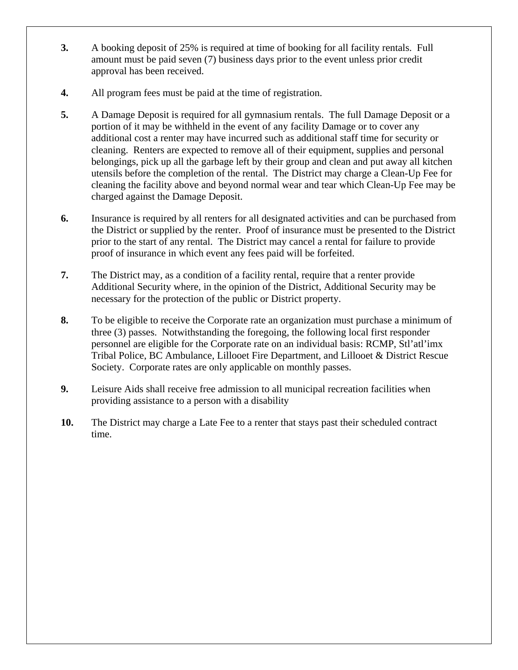- **3.** A booking deposit of 25% is required at time of booking for all facility rentals. Full amount must be paid seven (7) business days prior to the event unless prior credit approval has been received.
- **4.** All program fees must be paid at the time of registration.
- **5.** A Damage Deposit is required for all gymnasium rentals. The full Damage Deposit or a portion of it may be withheld in the event of any facility Damage or to cover any additional cost a renter may have incurred such as additional staff time for security or cleaning. Renters are expected to remove all of their equipment, supplies and personal belongings, pick up all the garbage left by their group and clean and put away all kitchen utensils before the completion of the rental. The District may charge a Clean-Up Fee for cleaning the facility above and beyond normal wear and tear which Clean-Up Fee may be charged against the Damage Deposit.
- **6.** Insurance is required by all renters for all designated activities and can be purchased from the District or supplied by the renter. Proof of insurance must be presented to the District prior to the start of any rental. The District may cancel a rental for failure to provide proof of insurance in which event any fees paid will be forfeited.
- **7.** The District may, as a condition of a facility rental, require that a renter provide Additional Security where, in the opinion of the District, Additional Security may be necessary for the protection of the public or District property.
- **8.** To be eligible to receive the Corporate rate an organization must purchase a minimum of three (3) passes. Notwithstanding the foregoing, the following local first responder personnel are eligible for the Corporate rate on an individual basis: RCMP, Stl'atl'imx Tribal Police, BC Ambulance, Lillooet Fire Department, and Lillooet & District Rescue Society. Corporate rates are only applicable on monthly passes.
- **9.** Leisure Aids shall receive free admission to all municipal recreation facilities when providing assistance to a person with a disability
- **10.** The District may charge a Late Fee to a renter that stays past their scheduled contract time.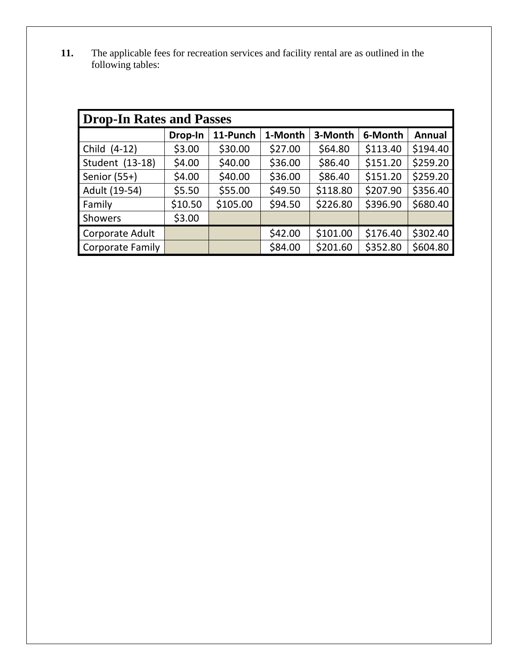**11.** The applicable fees for recreation services and facility rental are as outlined in the following tables:

| <b>Drop-In Rates and Passes</b> |         |          |         |          |          |               |  |  |
|---------------------------------|---------|----------|---------|----------|----------|---------------|--|--|
|                                 | Drop-In | 11-Punch | 1-Month | 3-Month  | 6-Month  | <b>Annual</b> |  |  |
| Child (4-12)                    | \$3.00  | \$30.00  | \$27.00 | \$64.80  | \$113.40 | \$194.40      |  |  |
| Student (13-18)                 | \$4.00  | \$40.00  | \$36.00 | \$86.40  | \$151.20 | \$259.20      |  |  |
| Senior (55+)                    | \$4.00  | \$40.00  | \$36.00 | \$86.40  | \$151.20 | \$259.20      |  |  |
| Adult (19-54)                   | \$5.50  | \$55.00  | \$49.50 | \$118.80 | \$207.90 | \$356.40      |  |  |
| Family                          | \$10.50 | \$105.00 | \$94.50 | \$226.80 | \$396.90 | \$680.40      |  |  |
| <b>Showers</b>                  | \$3.00  |          |         |          |          |               |  |  |
| Corporate Adult                 |         |          | \$42.00 | \$101.00 | \$176.40 | \$302.40      |  |  |
| <b>Corporate Family</b>         |         |          | \$84.00 | \$201.60 | \$352.80 | \$604.80      |  |  |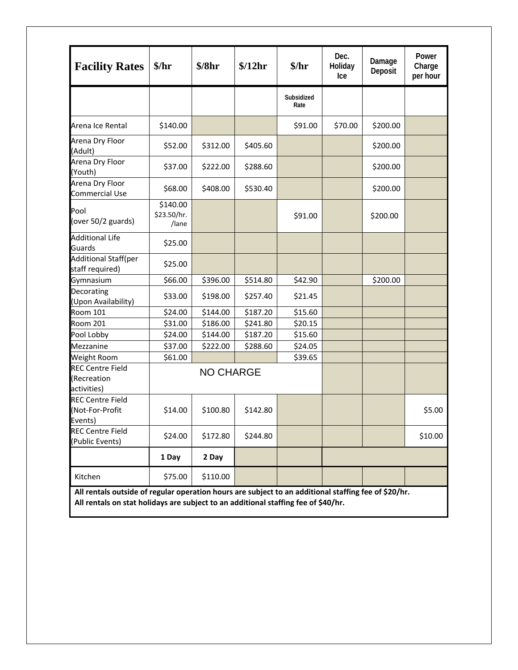| \$140.00<br>\$52.00<br>\$37.00<br>\$68.00<br>\$140.00<br>\$23.50/hr. | \$312.00<br>\$222.00<br>\$408.00       | \$405.60<br>\$288.60 | Subsidized<br>Rate<br>\$91.00 | \$70.00                                                                            | \$200.00 |                                                                                                      |
|----------------------------------------------------------------------|----------------------------------------|----------------------|-------------------------------|------------------------------------------------------------------------------------|----------|------------------------------------------------------------------------------------------------------|
|                                                                      |                                        |                      |                               |                                                                                    |          |                                                                                                      |
|                                                                      |                                        |                      |                               |                                                                                    |          |                                                                                                      |
|                                                                      |                                        |                      |                               |                                                                                    | \$200.00 |                                                                                                      |
|                                                                      |                                        |                      |                               |                                                                                    | \$200.00 |                                                                                                      |
|                                                                      |                                        | \$530.40             |                               |                                                                                    | \$200.00 |                                                                                                      |
| /lane                                                                |                                        |                      | \$91.00                       |                                                                                    | \$200.00 |                                                                                                      |
| \$25.00                                                              |                                        |                      |                               |                                                                                    |          |                                                                                                      |
| \$25.00                                                              |                                        |                      |                               |                                                                                    |          |                                                                                                      |
| \$66.00                                                              | \$396.00                               | \$514.80             | \$42.90                       |                                                                                    | \$200.00 |                                                                                                      |
| \$33.00                                                              | \$198.00                               | \$257.40             | \$21.45                       |                                                                                    |          |                                                                                                      |
| \$24.00                                                              | \$144.00                               | \$187.20             | \$15.60                       |                                                                                    |          |                                                                                                      |
| \$31.00                                                              | \$186.00                               | \$241.80             | \$20.15                       |                                                                                    |          |                                                                                                      |
| \$24.00                                                              | \$144.00                               | \$187.20             | \$15.60                       |                                                                                    |          |                                                                                                      |
| \$37.00                                                              | \$222.00                               | \$288.60             | \$24.05                       |                                                                                    |          |                                                                                                      |
| \$61.00                                                              |                                        |                      | \$39.65                       |                                                                                    |          |                                                                                                      |
| <b>NO CHARGE</b>                                                     |                                        |                      |                               |                                                                                    |          |                                                                                                      |
|                                                                      | \$100.80                               | \$142.80             |                               |                                                                                    |          | \$5.00                                                                                               |
|                                                                      | \$172.80                               | \$244.80             |                               |                                                                                    |          | \$10.00                                                                                              |
|                                                                      | 2 Day                                  |                      |                               |                                                                                    |          |                                                                                                      |
|                                                                      | \$110.00                               |                      |                               |                                                                                    |          |                                                                                                      |
|                                                                      | \$14.00<br>\$24.00<br>1 Day<br>\$75.00 |                      |                               | All rentals on stat holidays are subject to an additional staffing fee of \$40/hr. |          | All rentals outside of regular operation hours are subject to an additional staffing fee of \$20/hr. |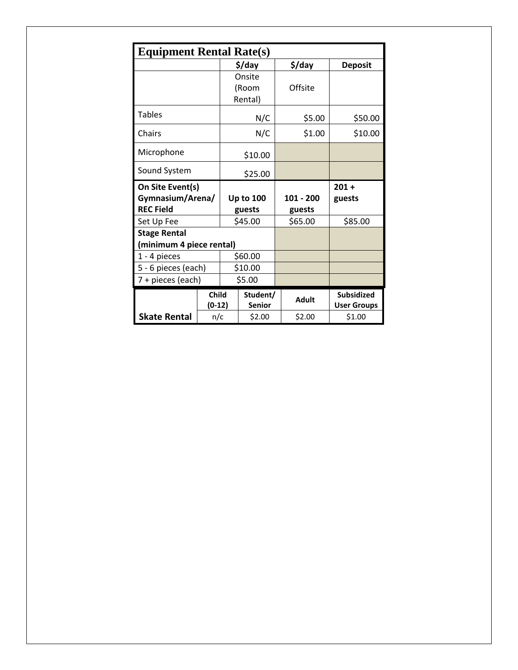| <b>Equipment Rental Rate(s)</b> |                          |                            |                           |              |                                         |
|---------------------------------|--------------------------|----------------------------|---------------------------|--------------|-----------------------------------------|
|                                 |                          |                            | \$/day                    | \$/day       | <b>Deposit</b>                          |
|                                 |                          | Onsite<br>(Room<br>Rental) |                           | Offsite      |                                         |
| <b>Tables</b>                   |                          | N/C                        |                           | \$5.00       | \$50.00                                 |
| Chairs                          |                          |                            | N/C                       | \$1.00       | \$10.00                                 |
| Microphone                      |                          |                            | \$10.00                   |              |                                         |
| Sound System                    |                          | \$25.00                    |                           |              |                                         |
| On Site Event(s)                |                          |                            |                           |              | $201 +$                                 |
|                                 | Gymnasium/Arena/         |                            | <b>Up to 100</b>          | $101 - 200$  | guests                                  |
| <b>REC Field</b>                |                          |                            | guests                    | guests       |                                         |
| Set Up Fee                      |                          | \$45.00                    |                           | \$65.00      | \$85.00                                 |
| <b>Stage Rental</b>             |                          |                            |                           |              |                                         |
| (minimum 4 piece rental)        |                          |                            |                           |              |                                         |
| 1 - 4 pieces                    |                          | \$60.00                    |                           |              |                                         |
| 5 - 6 pieces (each)             |                          | \$10.00                    |                           |              |                                         |
|                                 | 7 + pieces (each)        |                            | \$5.00                    |              |                                         |
|                                 | <b>Child</b><br>$(0-12)$ |                            | Student/<br><b>Senior</b> | <b>Adult</b> | <b>Subsidized</b><br><b>User Groups</b> |
| <b>Skate Rental</b>             | n/c                      |                            | \$2.00                    | \$2.00       | \$1.00                                  |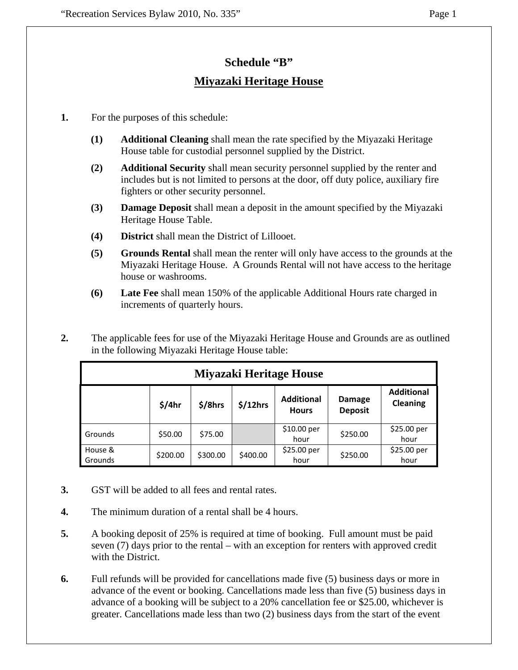# **Schedule "B" Miyazaki Heritage House**

- **1.** For the purposes of this schedule:
	- **(1) Additional Cleaning** shall mean the rate specified by the Miyazaki Heritage House table for custodial personnel supplied by the District.
	- **(2) Additional Security** shall mean security personnel supplied by the renter and includes but is not limited to persons at the door, off duty police, auxiliary fire fighters or other security personnel.
	- **(3) Damage Deposit** shall mean a deposit in the amount specified by the Miyazaki Heritage House Table.
	- **(4) District** shall mean the District of Lillooet.
	- **(5) Grounds Rental** shall mean the renter will only have access to the grounds at the Miyazaki Heritage House. A Grounds Rental will not have access to the heritage house or washrooms.
	- **(6) Late Fee** shall mean 150% of the applicable Additional Hours rate charged in increments of quarterly hours.
- **2.** The applicable fees for use of the Miyazaki Heritage House and Grounds are as outlined in the following Miyazaki Heritage House table:

| Miyazaki Heritage House |          |          |          |                                   |                          |                               |  |  |  |
|-------------------------|----------|----------|----------|-----------------------------------|--------------------------|-------------------------------|--|--|--|
|                         | \$/4hr   | \$/8hrs  | \$/12hrs | <b>Additional</b><br><b>Hours</b> | Damage<br><b>Deposit</b> | <b>Additional</b><br>Cleaning |  |  |  |
| Grounds                 | \$50.00  | \$75.00  |          | \$10.00 per<br>hour               | \$250.00                 | \$25.00 per<br>hour           |  |  |  |
| House &<br>Grounds      | \$200.00 | \$300.00 | \$400.00 | \$25.00~per<br>hour               | \$250.00                 | \$25.00 per<br>hour           |  |  |  |

- **3.** GST will be added to all fees and rental rates.
- **4.** The minimum duration of a rental shall be 4 hours.
- **5.** A booking deposit of 25% is required at time of booking. Full amount must be paid seven (7) days prior to the rental – with an exception for renters with approved credit with the District.
- **6.** Full refunds will be provided for cancellations made five (5) business days or more in advance of the event or booking. Cancellations made less than five (5) business days in advance of a booking will be subject to a 20% cancellation fee or \$25.00, whichever is greater. Cancellations made less than two (2) business days from the start of the event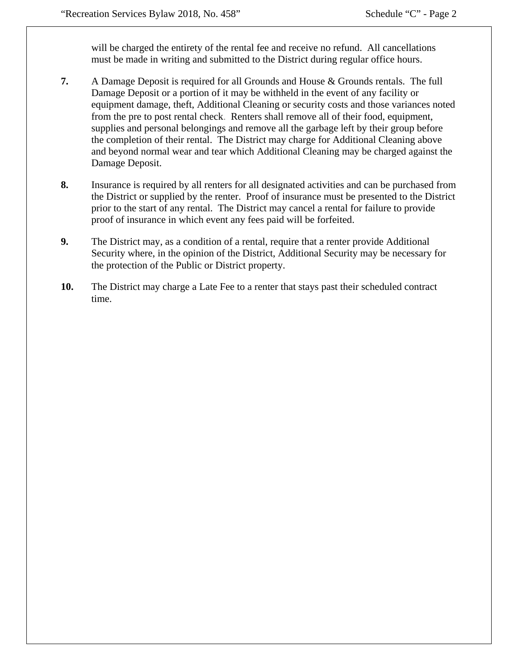will be charged the entirety of the rental fee and receive no refund. All cancellations must be made in writing and submitted to the District during regular office hours.

- **7.** A Damage Deposit is required for all Grounds and House & Grounds rentals. The full Damage Deposit or a portion of it may be withheld in the event of any facility or equipment damage, theft, Additional Cleaning or security costs and those variances noted from the pre to post rental check. Renters shall remove all of their food, equipment, supplies and personal belongings and remove all the garbage left by their group before the completion of their rental. The District may charge for Additional Cleaning above and beyond normal wear and tear which Additional Cleaning may be charged against the Damage Deposit.
- **8.** Insurance is required by all renters for all designated activities and can be purchased from the District or supplied by the renter. Proof of insurance must be presented to the District prior to the start of any rental. The District may cancel a rental for failure to provide proof of insurance in which event any fees paid will be forfeited.
- **9.** The District may, as a condition of a rental, require that a renter provide Additional Security where, in the opinion of the District, Additional Security may be necessary for the protection of the Public or District property.
- **10.** The District may charge a Late Fee to a renter that stays past their scheduled contract time.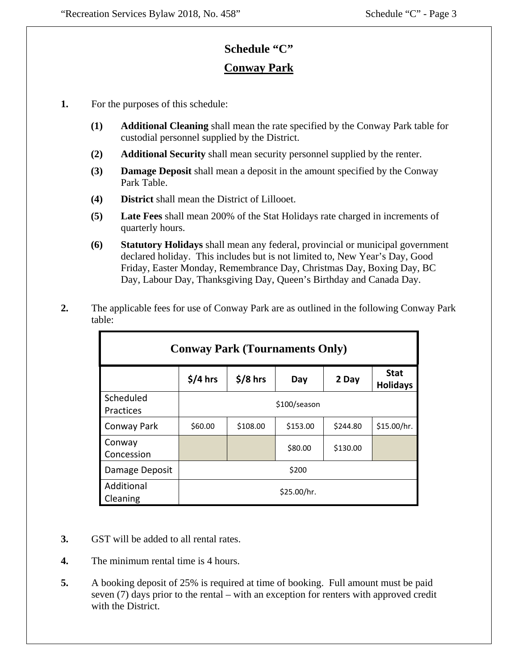## **Schedule "C"**

## **Conway Park**

- **1.** For the purposes of this schedule:
	- **(1) Additional Cleaning** shall mean the rate specified by the Conway Park table for custodial personnel supplied by the District.
	- **(2) Additional Security** shall mean security personnel supplied by the renter.
	- **(3) Damage Deposit** shall mean a deposit in the amount specified by the Conway Park Table.
	- **(4) District** shall mean the District of Lillooet.
	- **(5) Late Fees** shall mean 200% of the Stat Holidays rate charged in increments of quarterly hours.
	- **(6) Statutory Holidays** shall mean any federal, provincial or municipal government declared holiday. This includes but is not limited to, New Year's Day, Good Friday, Easter Monday, Remembrance Day, Christmas Day, Boxing Day, BC Day, Labour Day, Thanksgiving Day, Queen's Birthday and Canada Day.
- **2.** The applicable fees for use of Conway Park are as outlined in the following Conway Park table:

| <b>Conway Park (Tournaments Only)</b> |           |           |              |          |                                |  |  |  |
|---------------------------------------|-----------|-----------|--------------|----------|--------------------------------|--|--|--|
|                                       | $$/4$ hrs | $$/8$ hrs | Day          | 2 Day    | <b>Stat</b><br><b>Holidays</b> |  |  |  |
| Scheduled<br>Practices                |           |           | \$100/season |          |                                |  |  |  |
| Conway Park                           | \$60.00   | \$108.00  | \$153.00     | \$244.80 | \$15.00/hr.                    |  |  |  |
| Conway<br>Concession                  |           |           | \$80.00      | \$130.00 |                                |  |  |  |
| Damage Deposit                        |           |           | \$200        |          |                                |  |  |  |
| Additional<br>Cleaning                |           |           | \$25.00/hr.  |          |                                |  |  |  |

- **3.** GST will be added to all rental rates.
- **4.** The minimum rental time is 4 hours.
- **5.** A booking deposit of 25% is required at time of booking. Full amount must be paid seven (7) days prior to the rental – with an exception for renters with approved credit with the District.